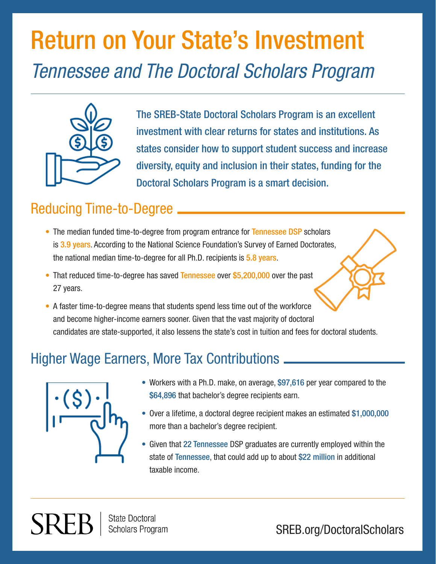# Return on Your State's Investment *Tennessee and The Doctoral Scholars Program*



The SREB-State Doctoral Scholars Program is an excellent investment with clear returns for states and institutions. As states consider how to support student success and increase diversity, equity and inclusion in their states, funding for the Doctoral Scholars Program is a smart decision.

### Reducing Time-to-Degree

- The median funded time-to-degree from program entrance for Tennessee DSP scholars is 3.9 years. According to the National Science Foundation's Survey of Earned Doctorates, the national median time-to-degree for all Ph.D. recipients is 5.8 years.
- That reduced time-to-degree has saved Tennessee over \$5,200,000 over the past 27 years.
- A faster time-to-degree means that students spend less time out of the workforce and become higher-income earners sooner. Given that the vast majority of doctoral candidates are state-supported, it also lessens the state's cost in tuition and fees for doctoral students.

### Higher Wage Earners, More Tax Contributions



SREF

- Workers with a Ph.D. make, on average, \$97,616 per year compared to the \$64,896 that bachelor's degree recipients earn.
- Over a lifetime, a doctoral degree recipient makes an estimated \$1,000,000 more than a bachelor's degree recipient.
- Given that 22 Tennessee DSP graduates are currently employed within the state of Tennessee, that could add up to about \$22 million in additional taxable income.

**State Doctoral Scholars Program** 

SREB.org/DoctoralScholars